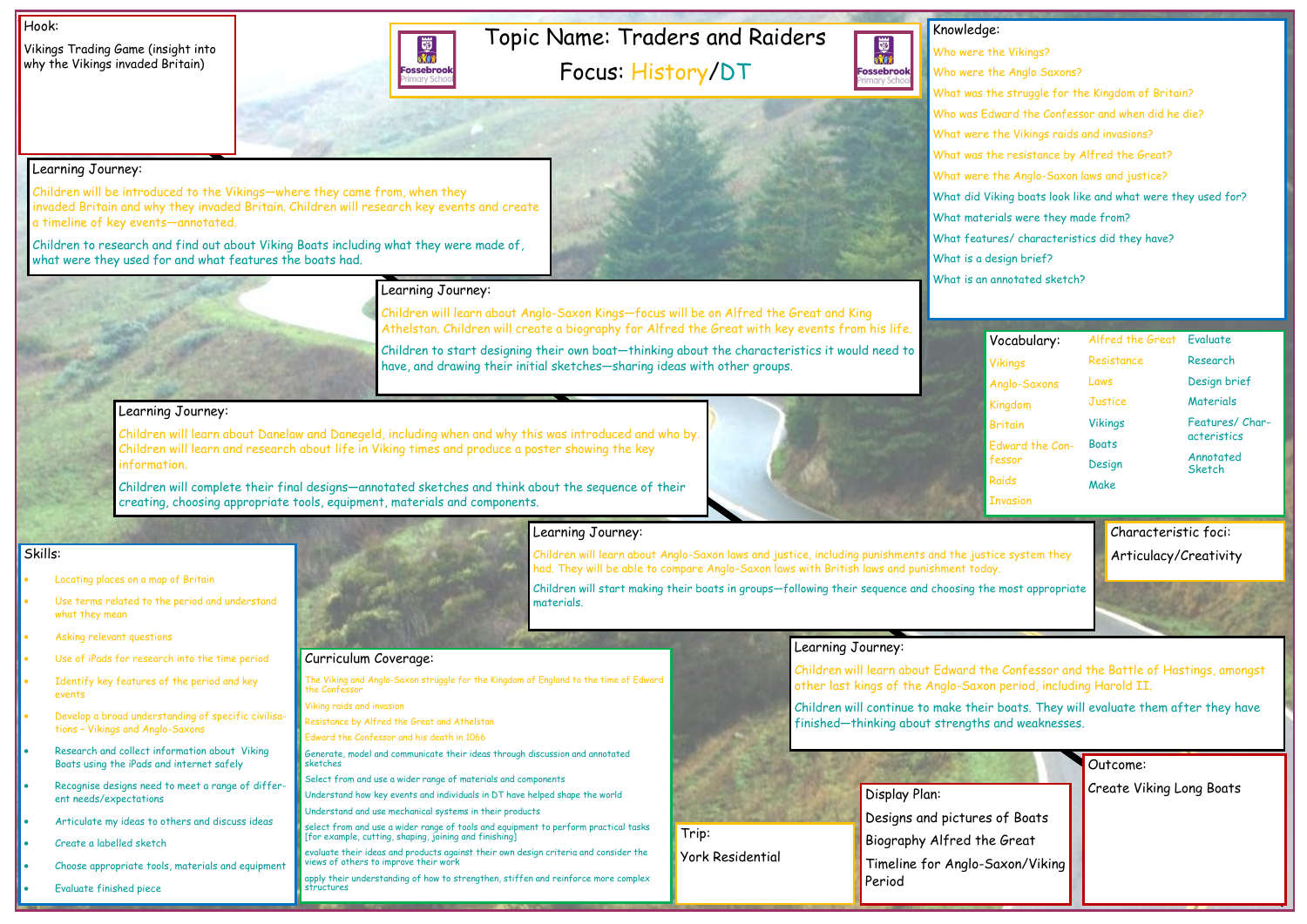## Topic Name: Traders and Raiders Focus: History/DT

Vikings Trading Game (insight into why the Vikings invaded Britain)



#### Hook:

Knowledge: 國流 **Fossebrook** nary Sch

Who were the Vikings? Who were the Anglo Saxons? What was the struggle for the Kingdom of Britain? Who was Edward the Confessor and when did he die? What were the Vikings raids and invasions? What was the resistance by Alfred the Great? What were the Anglo-Saxon laws and justice? What did Viking boats look like and what were they used for? What materials were they made from? What features/ characteristics did they have? What is a design brief? What is an annotated sketch?

- Use of iPads for research into the time period
- Identify key features of the period and key events
- Develop a broad understanding of specific civilisations – Vikings and Anglo-Saxons
- Research and collect information about Viking Boats using the iPads and internet safely
- Recognise designs need to meet a range of different needs/expectations
- Articulate my ideas to others and discuss ideas
- Create a labelled sketch
- Choose appropriate tools, materials and equipment

Skills:

- Locating places on a map of Britain
- Use terms related to the period and understand what they mean
- Asking relevant questions

• Evaluate finished piece



## Learning Journey:

Children will start making their boats in groups—following their sequence and choosing th materials.

Children will be introduced to the Vikings—where they came from, when they invaded Britain and why they invaded Britain. Children will research key events and create a timeline of key events—annotated.

Children to research and find out about Viking Boats including what they were made of, what were they used for and what features the boats had.



Children will learn about Anglo-Saxon Kings—focus will be on Alfred the Great and King Athelstan. Children will create a biography for Alfred the Great with key events from his life.

Children to start designing their own boat—thinking about the characteristics it would need to have, and drawing their initial sketches—sharing ideas with other groups.

### Learning Journey:

Children will learn about Danelaw and Danegeld, including when and why this was introduced and who by. Children will learn and research about life in Viking times and produce a poster showing the key information.

> Display Plan: Designs and pictures of Boats Biography Alfred the Great Timeline for Anglo-Saxon/Viking Period

| Vocabulary:                                                                                                                                                                                  | Alfred the Great                | Evaluate            |
|----------------------------------------------------------------------------------------------------------------------------------------------------------------------------------------------|---------------------------------|---------------------|
| <b>Vikings</b>                                                                                                                                                                               | Resistance                      | Research            |
| Anglo-Saxons                                                                                                                                                                                 | Laws                            | Design brief        |
| Kingdom                                                                                                                                                                                      | <b>Justice</b>                  | <b>Materials</b>    |
| <b>Britain</b>                                                                                                                                                                               | <b>Vikings</b>                  | Features/Char-      |
| <b>Edward the Con-</b>                                                                                                                                                                       | <b>Boats</b>                    | acteristics         |
| fessor                                                                                                                                                                                       | Design                          | Annotated<br>Sketch |
| Raids                                                                                                                                                                                        | Make                            |                     |
| <b>Invasion</b>                                                                                                                                                                              |                                 |                     |
| lay.<br>he most appropriate<br>he Confessor and the Battle of Hastings, amongst<br>on period, including Harold II.<br>ir boats. They will evaluate them after they have<br>s and weaknesses. |                                 |                     |
|                                                                                                                                                                                              |                                 |                     |
|                                                                                                                                                                                              | Outcome:                        |                     |
|                                                                                                                                                                                              | <b>Create Viking Long Boats</b> |                     |

Children will complete their final designs—annotated sketches and think about the sequence of their creating, choosing appropriate tools, equipment, materials and components.





### Learning Journey:

Children will learn about Anglo-Saxon laws and justice, including punishments and the just had. They will be able to compare Anglo-Saxon laws with British laws and punishment todd

### Learning Journey:

Children will learn about Edward the other last kings of the Anglo-Saxo

Children will continue to make their finished—thinking about strengths



Curriculum Coverage:

The Viking and Anglo-Saxon struggle for the Kingdom of England to the time of Edward

the Confessor

Viking raids and invasion

Resistance by Alfred the Great and Athelstan Edward the Confessor and his death in 1066

Generate, model and communicate their ideas through discussion and annotated

sketches

Select from and use a wider range of materials and components

Understand how key events and individuals in DT have helped shape the world

Understand and use mechanical systems in their products

select from and use a wider range of tools and equipment to perform practical tasks

[for example, cutting, shaping, joining and finishing]

evaluate their ideas and products against their own design criteria and consider the

views of others to improve their work

apply their understanding of how to strengthen, stiffen and reinforce more complex

structures

Trip: York Residential